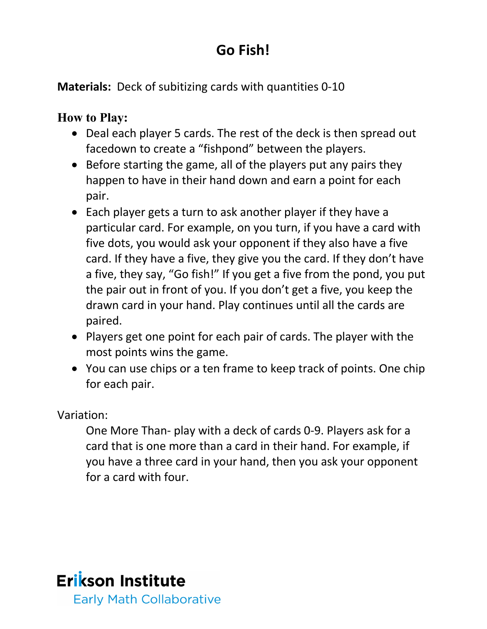## **Go Fish!**

**Materials:** Deck of subitizing cards with quantities 0-10

## **How to Play:**

- Deal each player 5 cards. The rest of the deck is then spread out facedown to create a "fishpond" between the players.
- Before starting the game, all of the players put any pairs they happen to have in their hand down and earn a point for each pair.
- Each player gets a turn to ask another player if they have a particular card. For example, on you turn, if you have a card with five dots, you would ask your opponent if they also have a five card. If they have a five, they give you the card. If they don't have a five, they say, "Go fish!" If you get a five from the pond, you put the pair out in front of you. If you don't get a five, you keep the drawn card in your hand. Play continues until all the cards are paired.
- Players get one point for each pair of cards. The player with the most points wins the game.
- You can use chips or a ten frame to keep track of points. One chip for each pair.

Variation:

One More Than- play with a deck of cards 0-9. Players ask for a card that is one more than a card in their hand. For example, if you have a three card in your hand, then you ask your opponent for a card with four.